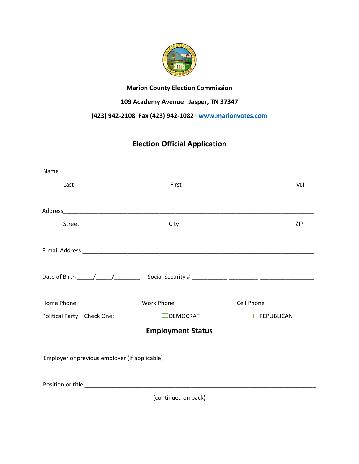

## **Marion County Election Commission**

## **109 Academy Avenue Jasper, TN 37347**

## **(423) 942-2108 Fax (423) 942-1082 [www.marionvotes.com](http://www.marionvotes.com/)**

# **Election Official Application**

| Last                                                                             | First                    | M.I.                                                                                                           |
|----------------------------------------------------------------------------------|--------------------------|----------------------------------------------------------------------------------------------------------------|
|                                                                                  |                          |                                                                                                                |
|                                                                                  |                          |                                                                                                                |
| <b>Street</b>                                                                    | City                     | ZIP                                                                                                            |
|                                                                                  |                          |                                                                                                                |
|                                                                                  |                          |                                                                                                                |
|                                                                                  |                          |                                                                                                                |
|                                                                                  |                          |                                                                                                                |
|                                                                                  |                          |                                                                                                                |
|                                                                                  |                          | Home Phone______________________________Work Phone________________________Cell Phone__________________________ |
| Political Party - Check One:                                                     | $\Box$ DEMOCRAT          | $\Box$ REPUBLICAN                                                                                              |
|                                                                                  | <b>Employment Status</b> |                                                                                                                |
|                                                                                  |                          |                                                                                                                |
| Employer or previous employer (if applicable) __________________________________ |                          |                                                                                                                |
|                                                                                  |                          |                                                                                                                |
|                                                                                  |                          |                                                                                                                |
|                                                                                  | (continued on back)      |                                                                                                                |